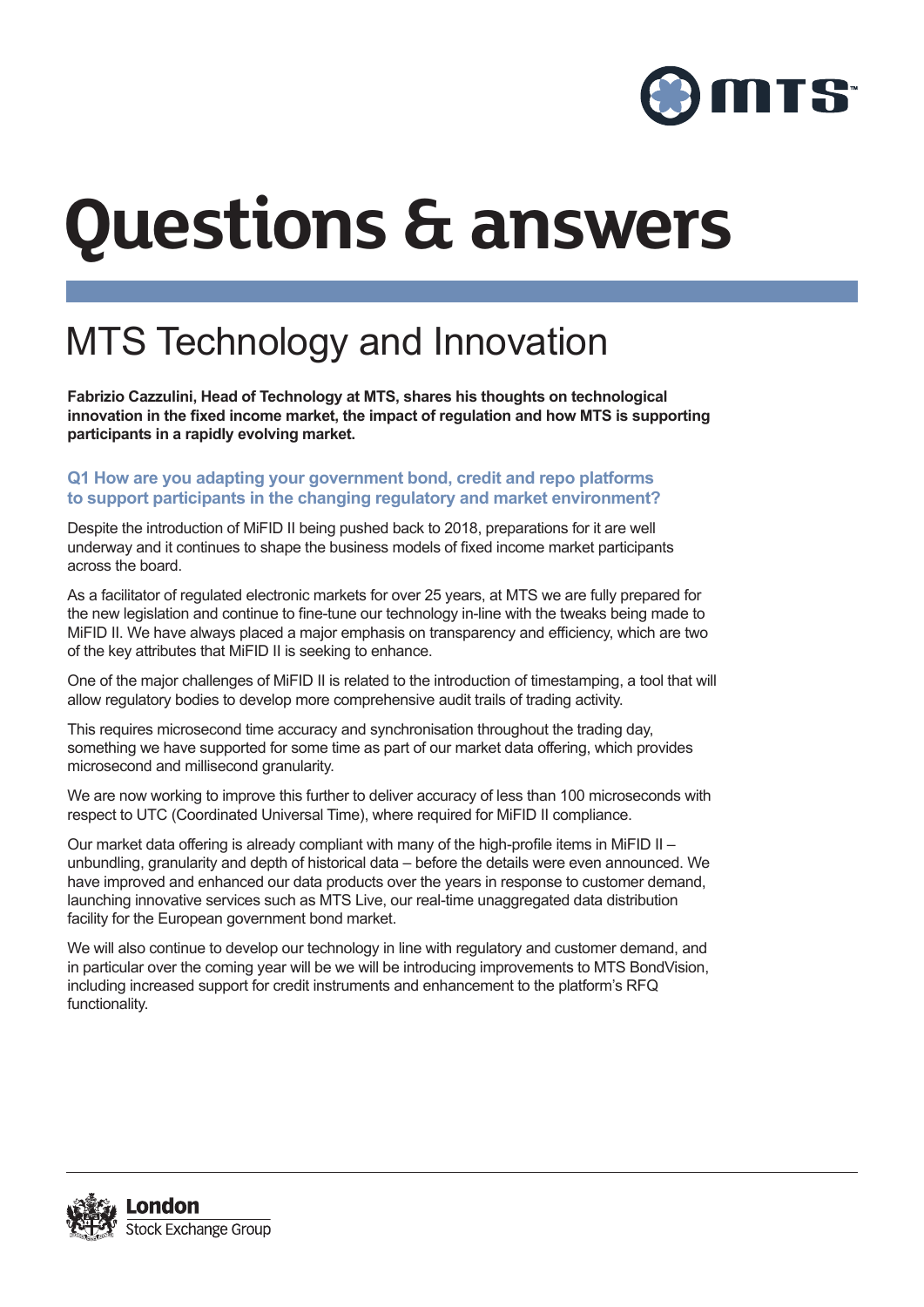

# **Questions & answers**

# MTS Technology and Innovation

**Fabrizio Cazzulini, Head of Technology at MTS, shares his thoughts on technological**  innovation in the fixed income market, the impact of regulation and how MTS is supporting participants in a rapidly evolving market.

#### **Q1 How are you adapting your government bond, credit and repo platforms** to support participants in the changing regulatory and market environment?

Despite the introduction of MiFID II being pushed back to 2018, preparations for it are well underway and it continues to shape the business models of fixed income market participants across the board.

As a facilitator of regulated electronic markets for over 25 years, at MTS we are fully prepared for the new legislation and continue to fine-tune our technology in-line with the tweaks being made to MiFID II. We have always placed a major emphasis on transparency and efficiency, which are two of the key attributes that MiFID II is seeking to enhance.

One of the major challenges of MiFID II is related to the introduction of timestamping, a tool that will allow regulatory bodies to develop more comprehensive audit trails of trading activity.

This requires microsecond time accuracy and synchronisation throughout the trading day, something we have supported for some time as part of our market data offering, which provides microsecond and millisecond granularity.

We are now working to improve this further to deliver accuracy of less than 100 microseconds with respect to UTC (Coordinated Universal Time), where required for MiFID II compliance.

Our market data offering is already compliant with many of the high-profile items in MiFID II – unbundling, granularity and depth of historical data – before the details were even announced. We have improved and enhanced our data products over the years in response to customer demand, launching innovative services such as MTS Live, our real-time unaggregated data distribution facility for the European government bond market.

We will also continue to develop our technology in line with regulatory and customer demand, and in particular over the coming year will be we will be introducing improvements to MTS BondVision, including increased support for credit instruments and enhancement to the platform's RFQ functionality.

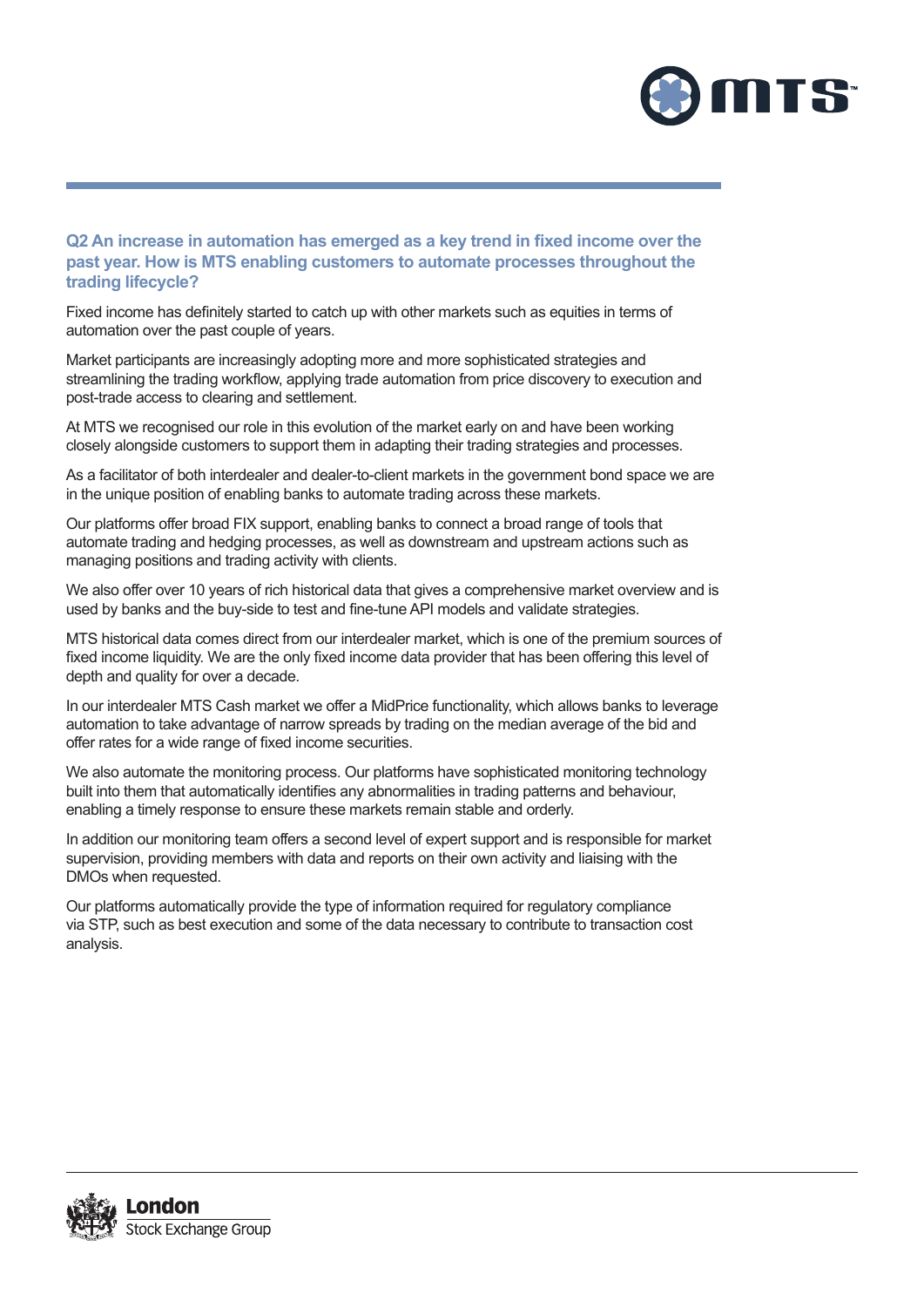

#### **Q2 An increase in automation has emerged as a key trend in fixed income over the** past year. How is MTS enabling customers to automate processes throughout the **trading lifecycle?**

Fixed income has definitely started to catch up with other markets such as equities in terms of automation over the past couple of years.

Market participants are increasingly adopting more and more sophisticated strategies and streamlining the trading workflow, applying trade automation from price discovery to execution and post-trade access to clearing and settlement.

At MTS we recognised our role in this evolution of the market early on and have been working closely alongside customers to support them in adapting their trading strategies and processes.

As a facilitator of both interdealer and dealer-to-client markets in the government bond space we are in the unique position of enabling banks to automate trading across these markets.

Our platforms offer broad FIX support, enabling banks to connect a broad range of tools that automate trading and hedging processes, as well as downstream and upstream actions such as managing positions and trading activity with clients.

We also offer over 10 years of rich historical data that gives a comprehensive market overview and is used by banks and the buy-side to test and fine-tune API models and validate strategies.

MTS historical data comes direct from our interdealer market, which is one of the premium sources of fixed income liquidity. We are the only fixed income data provider that has been offering this level of depth and quality for over a decade.

In our interdealer MTS Cash market we offer a MidPrice functionality, which allows banks to leverage automation to take advantage of narrow spreads by trading on the median average of the bid and offer rates for a wide range of fixed income securities.

We also automate the monitoring process. Our platforms have sophisticated monitoring technology built into them that automatically identifies any abnormalities in trading patterns and behaviour, enabling a timely response to ensure these markets remain stable and orderly.

In addition our monitoring team offers a second level of expert support and is responsible for market supervision, providing members with data and reports on their own activity and liaising with the DMOs when requested.

Our platforms automatically provide the type of information required for regulatory compliance via STP. such as best execution and some of the data necessary to contribute to transaction cost analysis.

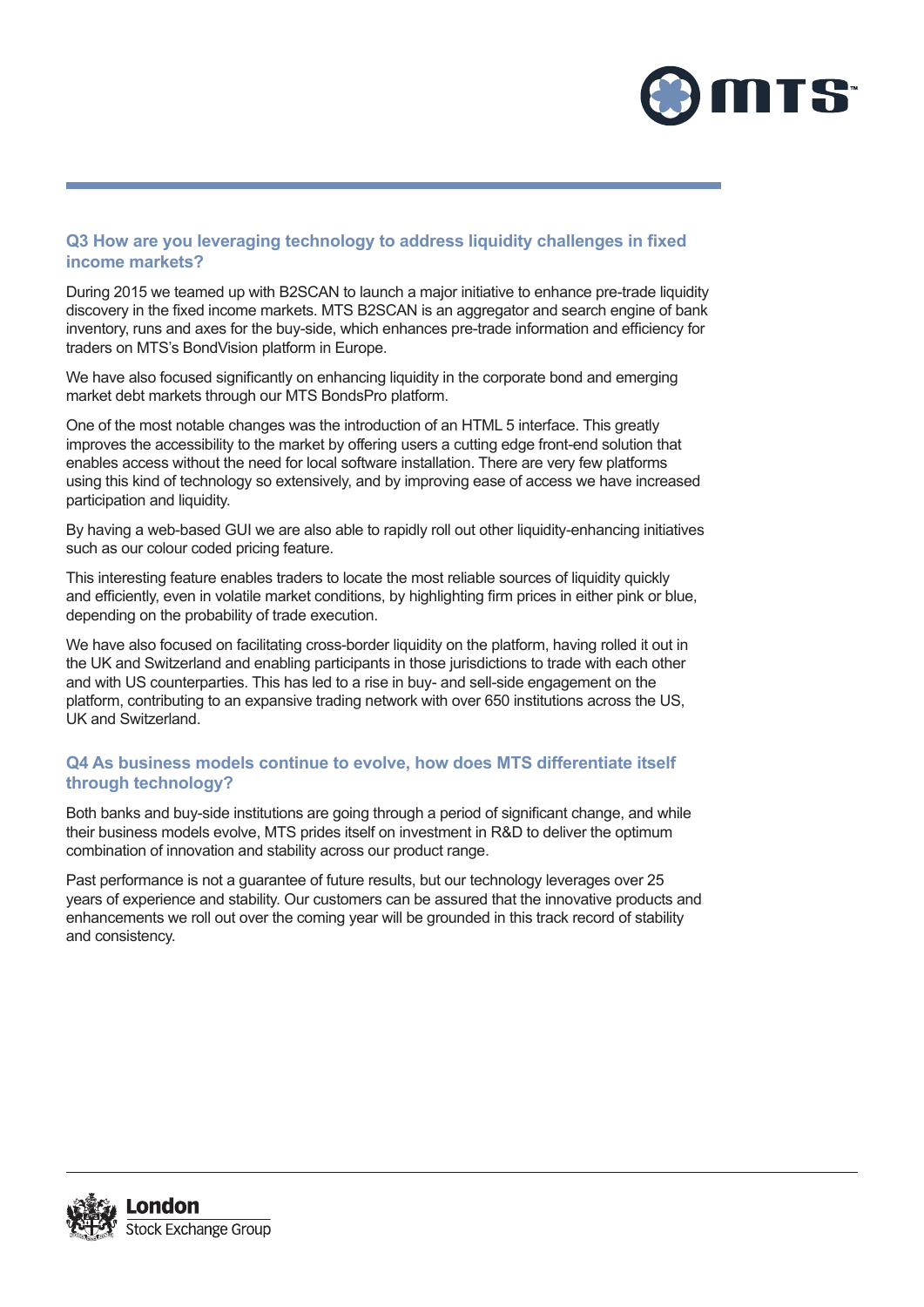

## Q3 How are you leveraging technology to address liquidity challenges in fixed **income markets?**

During 2015 we teamed up with B2SCAN to launch a maior initiative to enhance pre-trade liquidity discovery in the fixed income markets. MTS B2SCAN is an aggregator and search engine of bank inventory, runs and axes for the buy-side, which enhances pre-trade information and efficiency for traders on MTS's BondVision platform in Europe.

We have also focused significantly on enhancing liquidity in the corporate bond and emerging market debt markets through our MTS BondsPro platform.

One of the most notable changes was the introduction of an HTML 5 interface. This greatly improves the accessibility to the market by offering users a cutting edge front-end solution that enables access without the need for local software installation. There are very few platforms using this kind of technology so extensively, and by improving ease of access we have increased participation and liquidity.

By having a web-based GUI we are also able to rapidly roll out other liquidity-enhancing initiatives such as our colour coded pricing feature.

This interesting feature enables traders to locate the most reliable sources of liquidity quickly and efficiently, even in volatile market conditions, by highlighting firm prices in either pink or blue, depending on the probability of trade execution.

We have also focused on facilitating cross-border liquidity on the platform, having rolled it out in the UK and Switzerland and enabling participants in those jurisdictions to trade with each other and with US counterparties. This has led to a rise in buy- and sell-side engagement on the platform, contributing to an expansive trading network with over 650 institutions across the US. UK and Switzerland.

## Q4 As business models continue to evolve, how does MTS differentiate itself **through technology?**

Both banks and buy-side institutions are going through a period of significant change, and while their business models evolve, MTS prides itself on investment in R&D to deliver the optimum combination of innovation and stability across our product range.

Past performance is not a quarantee of future results, but our technology leverages over 25 vears of experience and stability. Our customers can be assured that the innovative products and enhancements we roll out over the coming year will be grounded in this track record of stability and consistency.